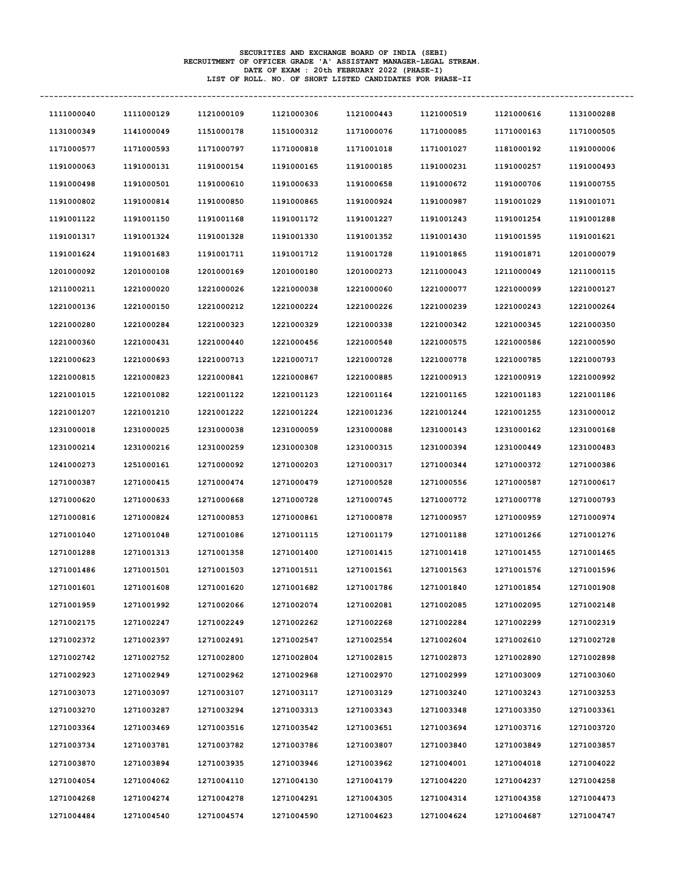| 1111000040 | 1111000129 | 1121000109 | 1121000306 | 1121000443 | 1121000519 | 1121000616 | 1131000288 |
|------------|------------|------------|------------|------------|------------|------------|------------|
| 1131000349 | 1141000049 | 1151000178 | 1151000312 | 1171000076 | 1171000085 | 1171000163 | 1171000505 |
| 1171000577 | 1171000593 | 1171000797 | 1171000818 | 1171001018 | 1171001027 | 1181000192 | 1191000006 |
| 1191000063 | 1191000131 | 1191000154 | 1191000165 | 1191000185 | 1191000231 | 1191000257 | 1191000493 |
| 1191000498 | 1191000501 | 1191000610 | 1191000633 | 1191000658 | 1191000672 | 1191000706 | 1191000755 |
| 1191000802 | 1191000814 | 1191000850 | 1191000865 | 1191000924 | 1191000987 | 1191001029 | 1191001071 |
| 1191001122 | 1191001150 | 1191001168 | 1191001172 | 1191001227 | 1191001243 | 1191001254 | 1191001288 |
| 1191001317 | 1191001324 | 1191001328 | 1191001330 | 1191001352 | 1191001430 | 1191001595 | 1191001621 |
| 1191001624 | 1191001683 | 1191001711 | 1191001712 | 1191001728 | 1191001865 | 1191001871 | 1201000079 |
| 1201000092 | 1201000108 | 1201000169 | 1201000180 | 1201000273 | 1211000043 | 1211000049 | 1211000115 |
| 1211000211 | 1221000020 | 1221000026 | 1221000038 | 1221000060 | 1221000077 | 1221000099 | 1221000127 |
| 1221000136 | 1221000150 | 1221000212 | 1221000224 | 1221000226 | 1221000239 | 1221000243 | 1221000264 |
| 1221000280 | 1221000284 | 1221000323 | 1221000329 | 1221000338 | 1221000342 | 1221000345 | 1221000350 |
| 1221000360 | 1221000431 | 1221000440 | 1221000456 | 1221000548 | 1221000575 | 1221000586 | 1221000590 |
| 1221000623 | 1221000693 | 1221000713 | 1221000717 | 1221000728 | 1221000778 | 1221000785 | 1221000793 |
| 1221000815 | 1221000823 | 1221000841 | 1221000867 | 1221000885 | 1221000913 | 1221000919 | 1221000992 |
| 1221001015 | 1221001082 | 1221001122 | 1221001123 | 1221001164 | 1221001165 | 1221001183 | 1221001186 |
| 1221001207 | 1221001210 | 1221001222 | 1221001224 | 1221001236 | 1221001244 | 1221001255 | 1231000012 |
| 1231000018 | 1231000025 | 1231000038 | 1231000059 | 1231000088 | 1231000143 | 1231000162 | 1231000168 |
| 1231000214 | 1231000216 | 1231000259 | 1231000308 | 1231000315 | 1231000394 | 1231000449 | 1231000483 |
| 1241000273 | 1251000161 | 1271000092 | 1271000203 | 1271000317 | 1271000344 | 1271000372 | 1271000386 |
| 1271000387 | 1271000415 | 1271000474 | 1271000479 | 1271000528 | 1271000556 | 1271000587 | 1271000617 |
| 1271000620 | 1271000633 | 1271000668 | 1271000728 | 1271000745 | 1271000772 | 1271000778 | 1271000793 |
| 1271000816 | 1271000824 | 1271000853 | 1271000861 | 1271000878 | 1271000957 | 1271000959 | 1271000974 |
| 1271001040 | 1271001048 | 1271001086 | 1271001115 | 1271001179 | 1271001188 | 1271001266 | 1271001276 |
| 1271001288 | 1271001313 | 1271001358 | 1271001400 | 1271001415 | 1271001418 | 1271001455 | 1271001465 |
| 1271001486 | 1271001501 | 1271001503 | 1271001511 | 1271001561 | 1271001563 | 1271001576 | 1271001596 |
| 1271001601 | 1271001608 | 1271001620 | 1271001682 | 1271001786 | 1271001840 | 1271001854 | 1271001908 |
| 1271001959 | 1271001992 | 1271002066 | 1271002074 | 1271002081 | 1271002085 | 1271002095 | 1271002148 |
| 1271002175 | 1271002247 | 1271002249 | 1271002262 | 1271002268 | 1271002284 | 1271002299 | 1271002319 |
| 1271002372 | 1271002397 | 1271002491 | 1271002547 | 1271002554 | 1271002604 | 1271002610 | 1271002728 |
| 1271002742 | 1271002752 | 1271002800 | 1271002804 | 1271002815 | 1271002873 | 1271002890 | 1271002898 |
| 1271002923 | 1271002949 | 1271002962 | 1271002968 | 1271002970 | 1271002999 | 1271003009 | 1271003060 |
| 1271003073 | 1271003097 | 1271003107 | 1271003117 | 1271003129 | 1271003240 | 1271003243 | 1271003253 |
| 1271003270 | 1271003287 | 1271003294 | 1271003313 | 1271003343 | 1271003348 | 1271003350 | 1271003361 |
| 1271003364 | 1271003469 | 1271003516 | 1271003542 | 1271003651 | 1271003694 | 1271003716 | 1271003720 |
| 1271003734 | 1271003781 | 1271003782 | 1271003786 | 1271003807 | 1271003840 | 1271003849 | 1271003857 |
| 1271003870 | 1271003894 | 1271003935 | 1271003946 | 1271003962 | 1271004001 | 1271004018 | 1271004022 |
| 1271004054 | 1271004062 | 1271004110 | 1271004130 | 1271004179 | 1271004220 | 1271004237 | 1271004258 |
| 1271004268 | 1271004274 | 1271004278 | 1271004291 | 1271004305 | 1271004314 | 1271004358 | 1271004473 |
| 1271004484 | 1271004540 | 1271004574 | 1271004590 | 1271004623 | 1271004624 | 1271004687 | 1271004747 |

SECURITIES AND EXCHANGE BOARD OF INDIA (SEBI)<br>RECRUITMENT OF OFFICER GRADE 'A' ASSISTANT MANAGER-LEGAL STREAM.<br>DATE OF EXAM : 20th FEBRUARY 2022 (PHASE-I)<br>LIST OF ROLL. NO. OF SHORT LISTED CANDIDATES FOR PHASE-II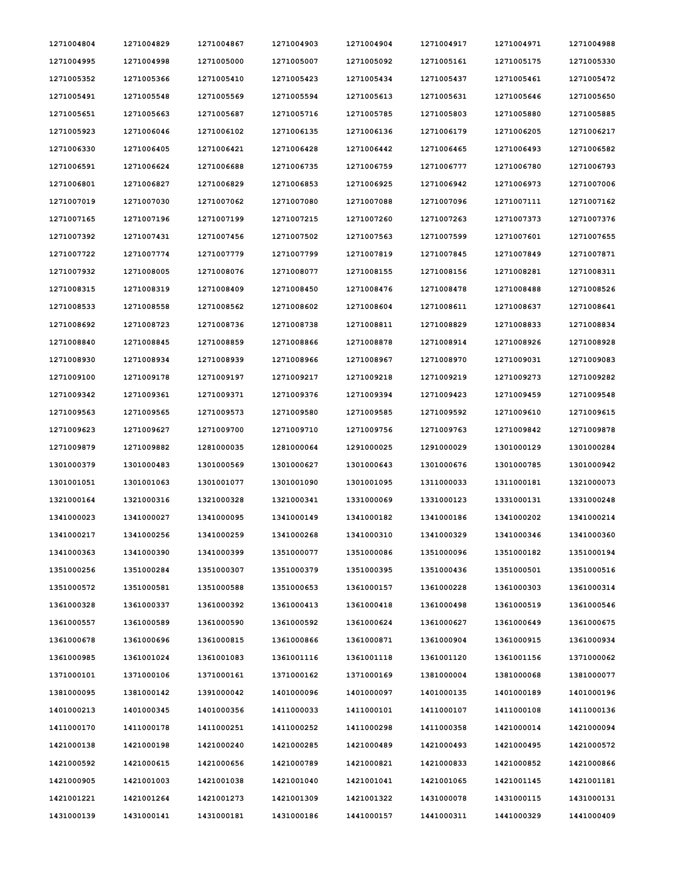| 1271004804 | 1271004829 | 1271004867 | 1271004903 | 1271004904 | 1271004917 | 1271004971 | 1271004988 |
|------------|------------|------------|------------|------------|------------|------------|------------|
| 1271004995 | 1271004998 | 1271005000 | 1271005007 | 1271005092 | 1271005161 | 1271005175 | 1271005330 |
| 1271005352 | 1271005366 | 1271005410 | 1271005423 | 1271005434 | 1271005437 | 1271005461 | 1271005472 |
| 1271005491 | 1271005548 | 1271005569 | 1271005594 | 1271005613 | 1271005631 | 1271005646 | 1271005650 |
| 1271005651 | 1271005663 | 1271005687 | 1271005716 | 1271005785 | 1271005803 | 1271005880 | 1271005885 |
| 1271005923 | 1271006046 | 1271006102 | 1271006135 | 1271006136 | 1271006179 | 1271006205 | 1271006217 |
| 1271006330 | 1271006405 | 1271006421 | 1271006428 | 1271006442 | 1271006465 | 1271006493 | 1271006582 |
| 1271006591 | 1271006624 | 1271006688 | 1271006735 | 1271006759 | 1271006777 | 1271006780 | 1271006793 |
| 1271006801 | 1271006827 | 1271006829 | 1271006853 | 1271006925 | 1271006942 | 1271006973 | 1271007006 |
| 1271007019 | 1271007030 | 1271007062 | 1271007080 | 1271007088 | 1271007096 | 1271007111 | 1271007162 |
| 1271007165 | 1271007196 | 1271007199 | 1271007215 | 1271007260 | 1271007263 | 1271007373 | 1271007376 |
| 1271007392 | 1271007431 | 1271007456 | 1271007502 | 1271007563 | 1271007599 | 1271007601 | 1271007655 |
| 1271007722 | 1271007774 | 1271007779 | 1271007799 | 1271007819 | 1271007845 | 1271007849 | 1271007871 |
| 1271007932 | 1271008005 | 1271008076 | 1271008077 | 1271008155 | 1271008156 | 1271008281 | 1271008311 |
| 1271008315 | 1271008319 | 1271008409 | 1271008450 | 1271008476 | 1271008478 | 1271008488 | 1271008526 |
| 1271008533 | 1271008558 | 1271008562 | 1271008602 | 1271008604 | 1271008611 | 1271008637 | 1271008641 |
| 1271008692 | 1271008723 | 1271008736 | 1271008738 | 1271008811 | 1271008829 | 1271008833 | 1271008834 |
| 1271008840 | 1271008845 | 1271008859 | 1271008866 | 1271008878 | 1271008914 | 1271008926 | 1271008928 |
| 1271008930 | 1271008934 | 1271008939 | 1271008966 | 1271008967 | 1271008970 | 1271009031 | 1271009083 |
| 1271009100 | 1271009178 | 1271009197 | 1271009217 | 1271009218 | 1271009219 | 1271009273 | 1271009282 |
| 1271009342 | 1271009361 | 1271009371 | 1271009376 | 1271009394 | 1271009423 | 1271009459 | 1271009548 |
| 1271009563 | 1271009565 | 1271009573 | 1271009580 | 1271009585 | 1271009592 | 1271009610 | 1271009615 |
| 1271009623 | 1271009627 | 1271009700 | 1271009710 | 1271009756 | 1271009763 | 1271009842 | 1271009878 |
| 1271009879 | 1271009882 | 1281000035 | 1281000064 | 1291000025 | 1291000029 | 1301000129 | 1301000284 |
| 1301000379 | 1301000483 | 1301000569 | 1301000627 | 1301000643 | 1301000676 | 1301000785 | 1301000942 |
| 1301001051 | 1301001063 | 1301001077 | 1301001090 | 1301001095 | 1311000033 | 1311000181 | 1321000073 |
| 1321000164 | 1321000316 | 1321000328 | 1321000341 | 1331000069 | 1331000123 | 1331000131 | 1331000248 |
| 1341000023 | 1341000027 | 1341000095 | 1341000149 | 1341000182 | 1341000186 | 1341000202 | 1341000214 |
| 1341000217 | 1341000256 | 1341000259 | 1341000268 | 1341000310 | 1341000329 | 1341000346 | 1341000360 |
| 1341000363 | 1341000390 | 1341000399 | 1351000077 | 1351000086 | 1351000096 | 1351000182 | 1351000194 |
| 1351000256 | 1351000284 | 1351000307 | 1351000379 | 1351000395 | 1351000436 | 1351000501 | 1351000516 |
| 1351000572 | 1351000581 | 1351000588 | 1351000653 | 1361000157 | 1361000228 | 1361000303 | 1361000314 |
| 1361000328 | 1361000337 | 1361000392 | 1361000413 | 1361000418 | 1361000498 | 1361000519 | 1361000546 |
| 1361000557 | 1361000589 | 1361000590 | 1361000592 | 1361000624 | 1361000627 | 1361000649 | 1361000675 |
| 1361000678 | 1361000696 | 1361000815 | 1361000866 | 1361000871 | 1361000904 | 1361000915 | 1361000934 |
| 1361000985 | 1361001024 | 1361001083 | 1361001116 | 1361001118 | 1361001120 | 1361001156 | 1371000062 |
| 1371000101 | 1371000106 | 1371000161 | 1371000162 | 1371000169 | 1381000004 | 1381000068 | 1381000077 |
| 1381000095 | 1381000142 | 1391000042 | 1401000096 | 1401000097 | 1401000135 | 1401000189 | 1401000196 |
| 1401000213 | 1401000345 | 1401000356 | 1411000033 | 1411000101 | 1411000107 | 1411000108 | 1411000136 |
| 1411000170 | 1411000178 | 1411000251 | 1411000252 | 1411000298 | 1411000358 | 1421000014 | 1421000094 |
| 1421000138 | 1421000198 | 1421000240 | 1421000285 | 1421000489 | 1421000493 | 1421000495 | 1421000572 |
| 1421000592 | 1421000615 | 1421000656 | 1421000789 | 1421000821 | 1421000833 | 1421000852 | 1421000866 |
| 1421000905 | 1421001003 | 1421001038 | 1421001040 | 1421001041 | 1421001065 | 1421001145 | 1421001181 |
| 1421001221 | 1421001264 | 1421001273 | 1421001309 | 1421001322 | 1431000078 | 1431000115 | 1431000131 |
| 1431000139 | 1431000141 | 1431000181 | 1431000186 | 1441000157 | 1441000311 | 1441000329 | 1441000409 |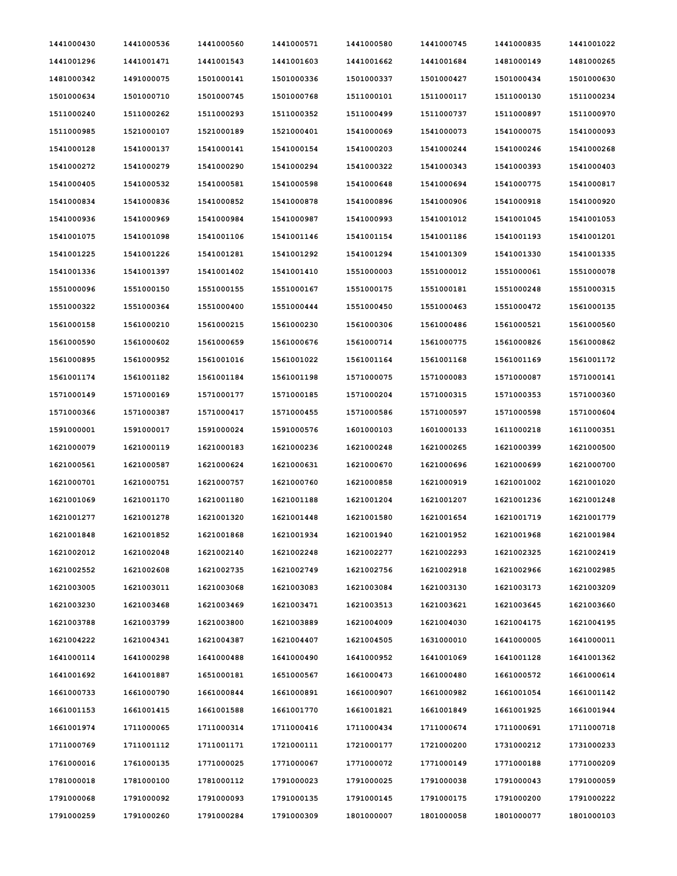| 1441000430 | 1441000536 | 1441000560 | 1441000571 | 1441000580 | 1441000745 | 1441000835 | 1441001022 |
|------------|------------|------------|------------|------------|------------|------------|------------|
| 1441001296 | 1441001471 | 1441001543 | 1441001603 | 1441001662 | 1441001684 | 1481000149 | 1481000265 |
| 1481000342 | 1491000075 | 1501000141 | 1501000336 | 1501000337 | 1501000427 | 1501000434 | 1501000630 |
| 1501000634 | 1501000710 | 1501000745 | 1501000768 | 1511000101 | 1511000117 | 1511000130 | 1511000234 |
| 1511000240 | 1511000262 | 1511000293 | 1511000352 | 1511000499 | 1511000737 | 1511000897 | 1511000970 |
| 1511000985 | 1521000107 | 1521000189 | 1521000401 | 1541000069 | 1541000073 | 1541000075 | 1541000093 |
| 1541000128 | 1541000137 | 1541000141 | 1541000154 | 1541000203 | 1541000244 | 1541000246 | 1541000268 |
| 1541000272 | 1541000279 | 1541000290 | 1541000294 | 1541000322 | 1541000343 | 1541000393 | 1541000403 |
| 1541000405 | 1541000532 | 1541000581 | 1541000598 | 1541000648 | 1541000694 | 1541000775 | 1541000817 |
| 1541000834 | 1541000836 | 1541000852 | 1541000878 | 1541000896 | 1541000906 | 1541000918 | 1541000920 |
| 1541000936 | 1541000969 | 1541000984 | 1541000987 | 1541000993 | 1541001012 | 1541001045 | 1541001053 |
| 1541001075 | 1541001098 | 1541001106 | 1541001146 | 1541001154 | 1541001186 | 1541001193 | 1541001201 |
| 1541001225 | 1541001226 | 1541001281 | 1541001292 | 1541001294 | 1541001309 | 1541001330 | 1541001335 |
| 1541001336 | 1541001397 | 1541001402 | 1541001410 | 1551000003 | 1551000012 | 1551000061 | 1551000078 |
| 1551000096 | 1551000150 | 1551000155 | 1551000167 | 1551000175 | 1551000181 | 1551000248 | 1551000315 |
| 1551000322 | 1551000364 | 1551000400 | 1551000444 | 1551000450 | 1551000463 | 1551000472 | 1561000135 |
| 1561000158 | 1561000210 | 1561000215 | 1561000230 | 1561000306 | 1561000486 | 1561000521 | 1561000560 |
| 1561000590 | 1561000602 | 1561000659 | 1561000676 | 1561000714 | 1561000775 | 1561000826 | 1561000862 |
| 1561000895 | 1561000952 | 1561001016 | 1561001022 | 1561001164 | 1561001168 | 1561001169 | 1561001172 |
| 1561001174 | 1561001182 | 1561001184 | 1561001198 | 1571000075 | 1571000083 | 1571000087 | 1571000141 |
| 1571000149 | 1571000169 | 1571000177 | 1571000185 | 1571000204 | 1571000315 | 1571000353 | 1571000360 |
| 1571000366 | 1571000387 | 1571000417 | 1571000455 | 1571000586 | 1571000597 | 1571000598 | 1571000604 |
| 1591000001 | 1591000017 | 1591000024 | 1591000576 | 1601000103 | 1601000133 | 1611000218 | 1611000351 |
| 1621000079 | 1621000119 | 1621000183 | 1621000236 | 1621000248 | 1621000265 | 1621000399 | 1621000500 |
| 1621000561 | 1621000587 | 1621000624 | 1621000631 | 1621000670 | 1621000696 | 1621000699 | 1621000700 |
| 1621000701 | 1621000751 | 1621000757 | 1621000760 | 1621000858 | 1621000919 | 1621001002 | 1621001020 |
| 1621001069 | 1621001170 | 1621001180 | 1621001188 | 1621001204 | 1621001207 | 1621001236 | 1621001248 |
| 1621001277 | 1621001278 | 1621001320 | 1621001448 | 1621001580 | 1621001654 | 1621001719 | 1621001779 |
| 1621001848 | 1621001852 | 1621001868 | 1621001934 | 1621001940 | 1621001952 | 1621001968 | 1621001984 |
| 1621002012 | 1621002048 | 1621002140 | 1621002248 | 1621002277 | 1621002293 | 1621002325 | 1621002419 |
| 1621002552 | 1621002608 | 1621002735 | 1621002749 | 1621002756 | 1621002918 | 1621002966 | 1621002985 |
| 1621003005 | 1621003011 | 1621003068 | 1621003083 | 1621003084 | 1621003130 | 1621003173 | 1621003209 |
| 1621003230 | 1621003468 | 1621003469 | 1621003471 | 1621003513 | 1621003621 | 1621003645 | 1621003660 |
| 1621003788 | 1621003799 | 1621003800 | 1621003889 | 1621004009 | 1621004030 | 1621004175 | 1621004195 |
| 1621004222 | 1621004341 | 1621004387 | 1621004407 | 1621004505 | 1631000010 | 1641000005 | 1641000011 |
| 1641000114 | 1641000298 | 1641000488 | 1641000490 | 1641000952 | 1641001069 | 1641001128 | 1641001362 |
| 1641001692 | 1641001887 | 1651000181 | 1651000567 | 1661000473 | 1661000480 | 1661000572 | 1661000614 |
| 1661000733 | 1661000790 | 1661000844 | 1661000891 | 1661000907 | 1661000982 | 1661001054 | 1661001142 |
| 1661001153 | 1661001415 | 1661001588 | 1661001770 | 1661001821 | 1661001849 | 1661001925 | 1661001944 |
| 1661001974 | 1711000065 | 1711000314 | 1711000416 | 1711000434 | 1711000674 | 1711000691 | 1711000718 |
| 1711000769 | 1711001112 | 1711001171 | 1721000111 | 1721000177 | 1721000200 | 1731000212 | 1731000233 |
| 1761000016 | 1761000135 | 1771000025 | 1771000067 | 1771000072 | 1771000149 | 1771000188 | 1771000209 |
| 1781000018 | 1781000100 | 1781000112 | 1791000023 | 1791000025 | 1791000038 | 1791000043 | 1791000059 |
| 1791000068 | 1791000092 | 1791000093 | 1791000135 | 1791000145 | 1791000175 | 1791000200 | 1791000222 |
| 1791000259 | 1791000260 | 1791000284 | 1791000309 | 1801000007 | 1801000058 | 1801000077 | 1801000103 |
|            |            |            |            |            |            |            |            |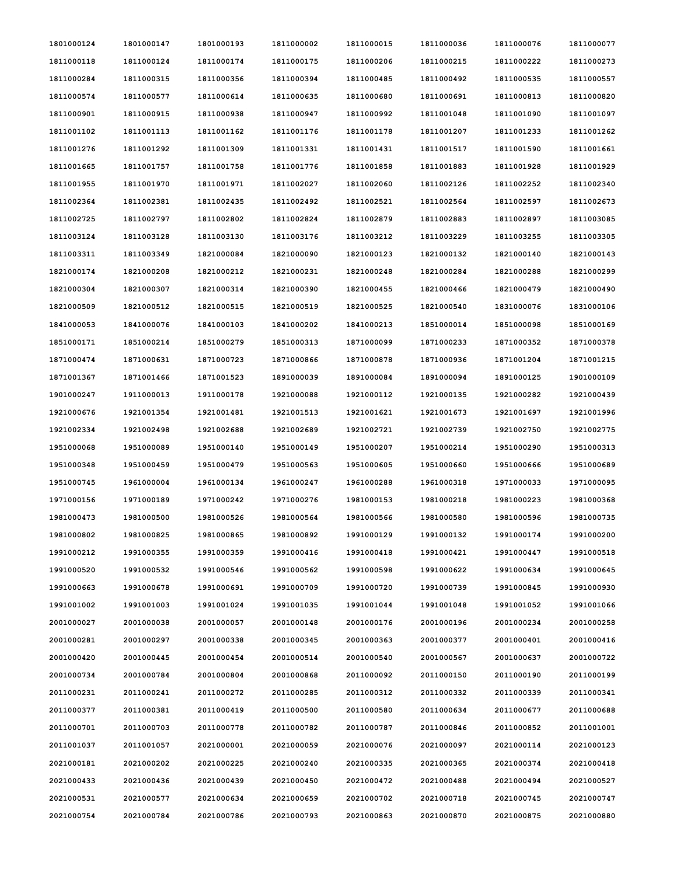| 1801000124 | 1801000147 | 1801000193 | 1811000002 | 1811000015 | 1811000036 | 1811000076 | 1811000077 |
|------------|------------|------------|------------|------------|------------|------------|------------|
| 1811000118 | 1811000124 | 1811000174 | 1811000175 | 1811000206 | 1811000215 | 1811000222 | 1811000273 |
| 1811000284 | 1811000315 | 1811000356 | 1811000394 | 1811000485 | 1811000492 | 1811000535 | 1811000557 |
| 1811000574 | 1811000577 | 1811000614 | 1811000635 | 1811000680 | 1811000691 | 1811000813 | 1811000820 |
| 1811000901 | 1811000915 | 1811000938 | 1811000947 | 1811000992 | 1811001048 | 1811001090 | 1811001097 |
| 1811001102 | 1811001113 | 1811001162 | 1811001176 | 1811001178 | 1811001207 | 1811001233 | 1811001262 |
| 1811001276 | 1811001292 | 1811001309 | 1811001331 | 1811001431 | 1811001517 | 1811001590 | 1811001661 |
| 1811001665 | 1811001757 | 1811001758 | 1811001776 | 1811001858 | 1811001883 | 1811001928 | 1811001929 |
| 1811001955 | 1811001970 | 1811001971 | 1811002027 | 1811002060 | 1811002126 | 1811002252 | 1811002340 |
| 1811002364 | 1811002381 | 1811002435 | 1811002492 | 1811002521 | 1811002564 | 1811002597 | 1811002673 |
| 1811002725 | 1811002797 | 1811002802 | 1811002824 | 1811002879 | 1811002883 | 1811002897 | 1811003085 |
| 1811003124 | 1811003128 | 1811003130 | 1811003176 | 1811003212 | 1811003229 | 1811003255 | 1811003305 |
| 1811003311 | 1811003349 | 1821000084 | 1821000090 | 1821000123 | 1821000132 | 1821000140 | 1821000143 |
| 1821000174 | 1821000208 | 1821000212 | 1821000231 | 1821000248 | 1821000284 | 1821000288 | 1821000299 |
| 1821000304 | 1821000307 | 1821000314 | 1821000390 | 1821000455 | 1821000466 | 1821000479 | 1821000490 |
| 1821000509 | 1821000512 | 1821000515 | 1821000519 | 1821000525 | 1821000540 | 1831000076 | 1831000106 |
| 1841000053 | 1841000076 | 1841000103 | 1841000202 | 1841000213 | 1851000014 | 1851000098 | 1851000169 |
| 1851000171 | 1851000214 | 1851000279 | 1851000313 | 1871000099 | 1871000233 | 1871000352 | 1871000378 |
| 1871000474 | 1871000631 | 1871000723 | 1871000866 | 1871000878 | 1871000936 | 1871001204 | 1871001215 |
| 1871001367 | 1871001466 | 1871001523 | 1891000039 | 1891000084 | 1891000094 | 1891000125 | 1901000109 |
| 1901000247 | 1911000013 | 1911000178 | 1921000088 | 1921000112 | 1921000135 | 1921000282 | 1921000439 |
| 1921000676 | 1921001354 | 1921001481 | 1921001513 | 1921001621 | 1921001673 | 1921001697 | 1921001996 |
| 1921002334 | 1921002498 | 1921002688 | 1921002689 | 1921002721 | 1921002739 | 1921002750 | 1921002775 |
| 1951000068 | 1951000089 | 1951000140 | 1951000149 | 1951000207 | 1951000214 | 1951000290 | 1951000313 |
| 1951000348 | 1951000459 | 1951000479 | 1951000563 | 1951000605 | 1951000660 | 1951000666 | 1951000689 |
| 1951000745 | 1961000004 | 1961000134 | 1961000247 | 1961000288 | 1961000318 | 1971000033 | 1971000095 |
| 1971000156 | 1971000189 | 1971000242 | 1971000276 | 1981000153 | 1981000218 | 1981000223 | 1981000368 |
| 1981000473 | 1981000500 | 1981000526 | 1981000564 | 1981000566 | 1981000580 | 1981000596 | 1981000735 |
| 1981000802 | 1981000825 | 1981000865 | 1981000892 | 1991000129 | 1991000132 | 1991000174 | 1991000200 |
| 1991000212 | 1991000355 | 1991000359 | 1991000416 | 1991000418 | 1991000421 | 1991000447 | 1991000518 |
| 1991000520 | 1991000532 | 1991000546 | 1991000562 | 1991000598 | 1991000622 | 1991000634 | 1991000645 |
| 1991000663 | 1991000678 | 1991000691 | 1991000709 | 1991000720 | 1991000739 | 1991000845 | 1991000930 |
| 1991001002 | 1991001003 | 1991001024 | 1991001035 | 1991001044 | 1991001048 | 1991001052 | 1991001066 |
| 2001000027 | 2001000038 | 2001000057 | 2001000148 | 2001000176 | 2001000196 | 2001000234 | 2001000258 |
| 2001000281 | 2001000297 | 2001000338 | 2001000345 | 2001000363 | 2001000377 | 2001000401 | 2001000416 |
| 2001000420 | 2001000445 | 2001000454 | 2001000514 | 2001000540 | 2001000567 | 2001000637 | 2001000722 |
| 2001000734 | 2001000784 | 2001000804 | 2001000868 | 2011000092 | 2011000150 | 2011000190 | 2011000199 |
| 2011000231 | 2011000241 | 2011000272 | 2011000285 | 2011000312 | 2011000332 | 2011000339 | 2011000341 |
| 2011000377 | 2011000381 | 2011000419 | 2011000500 | 2011000580 | 2011000634 | 2011000677 | 2011000688 |
| 2011000701 | 2011000703 | 2011000778 | 2011000782 | 2011000787 | 2011000846 | 2011000852 | 2011001001 |
| 2011001037 | 2011001057 | 2021000001 | 2021000059 | 2021000076 | 2021000097 | 2021000114 | 2021000123 |
| 2021000181 | 2021000202 | 2021000225 | 2021000240 | 2021000335 | 2021000365 | 2021000374 | 2021000418 |
| 2021000433 | 2021000436 | 2021000439 | 2021000450 | 2021000472 | 2021000488 | 2021000494 | 2021000527 |
| 2021000531 | 2021000577 | 2021000634 | 2021000659 | 2021000702 | 2021000718 | 2021000745 | 2021000747 |
| 2021000754 | 2021000784 | 2021000786 | 2021000793 | 2021000863 | 2021000870 | 2021000875 | 2021000880 |